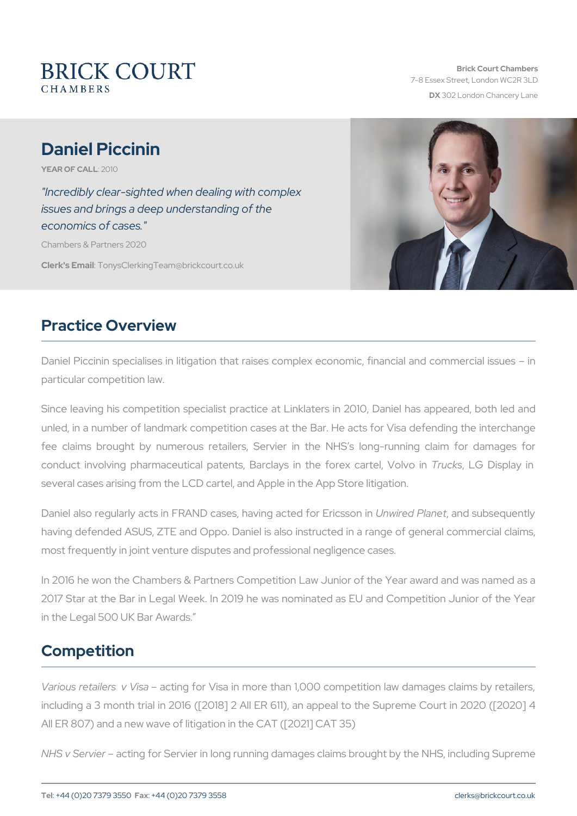# Daniel Piccinin

YEAR OF CA2L010

"Incredibly clear-sighted when dealing with complex issues and brings a deep understanding of the economics of cases."

Chambers & Partners 2020

Clerk's EmanysClerkingTeam@brickcourt.co.uk

#### Practice Overview

Daniel Piccinin specialises in litigation that raises complex economi particular competition law.

Since leaving his competition specialist practice at Linklaters in 20 unled, in a number of landmark competition cases at the Bar. He act fee claims brought by numerous retailers, Servier in the NHS s conduct involving pharmaceutical patents, BarclayTsruick sitinGe Difosmelyay ca several cases arising from the LCD cartel, and Apple in the App Store

Daniel also regularly acts in FRAND cases, Umawired a Poltaemolet fou bEsreiguse on having defended ASUS, ZTE and Oppo. Daniel is also instructed in a most frequently in joint venture disputes and professional negligence

In 2016 he won the Chambers & Partners Competition Law Junior of t 2017 Star at the Bar in Legal Week. In 2019 he was nominated as El in the Legal 500 UK Bar Awards.

#### Competition

Various retailers actin Vgisfar Visa in more than 1,000 competition law d including a 3 month trial in 2016 ( $[2018]$  2 All ER 611), an appeal to All ER 807) and a new wave of litigation in the CAT ([2021] CAT 35)

NHS v Servaicetring for Servier in long running damages claims brought by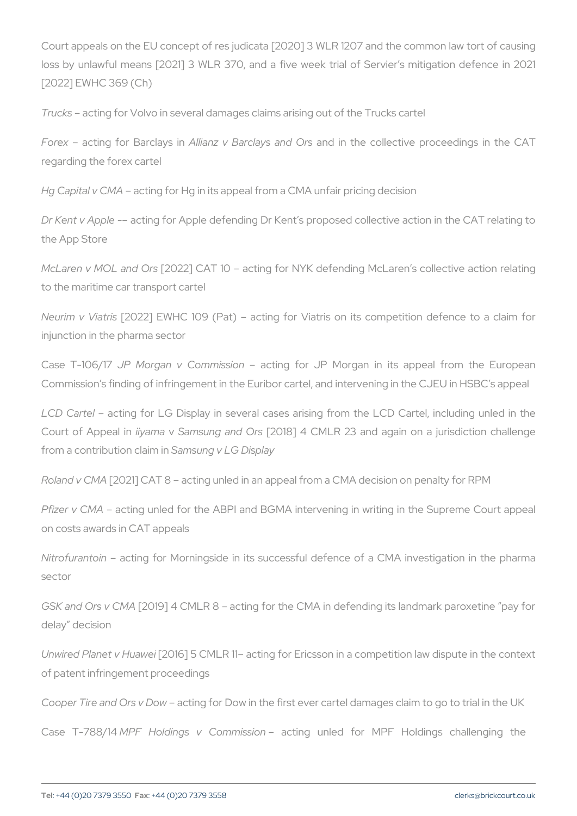Court appeals on the EU concept of res judicata [2020] 3 WLR 1207 and loss by unlawful means [2021] 3 WLR 370, and a five week trial of [2022] EWHC 369 (Ch)

Truckacting for Volvo in several damages claims arising out of the Tru

Forex acting for Bardlang in Barclans danned to the collective proceeding regarding the forex cartel

Hg Capital v aCM ing for Hg in its appeal from a CMA unfair pricing deci

Dr Kent v Apapoltein-g for Apple defending Dr Kent s proposed collective the App Store

McLaren v MOL  $a$ 20 $a$ 22 $a$ rs  $a$ T 10 acting for NYK defending McLaren s to the maritime car transport cartel

Neurim v  $V2022$  EWHC 109 (Pat) acting for Viatris on its competition injunction in the pharma sector

Case T-10JGP/1 Morgan v Commainstsing n for JP Morgan in its appeal Commission s finding of infringement in the Euribor cartel, and interve

LCD Cartelcting for LG Display in several cases arising from the L Court of Appieyaaln visolam sung an[@0008\$4 CMLR 23 and again on a juristicallenge challenge challenge challenge from a contributioSnamolsauim gim LG Display

Roland v [200] CAT 8 acting unled in an appeal from a CMA decision

Pfizer v CMA ting unled for the ABPI and BGMA intervening in writing on costs awards in CAT appeals

Nitrofurantoaionting for Morningside in its successful defence of a CN sector

GSK and Ors [2009] A4 CM a Rti & q for the CMA in defending its landmark delay decision

Unwired Planet [20 Hu6a wei CMLR 11 acting for Ericsson in a competition of patent infringement proceedings

Cooper Tire and Orasctvin Dow in the first ever cartel damages claim

Case T-78/8P/FF4 Holdings v Comantiishsgionunled for MPF Holdings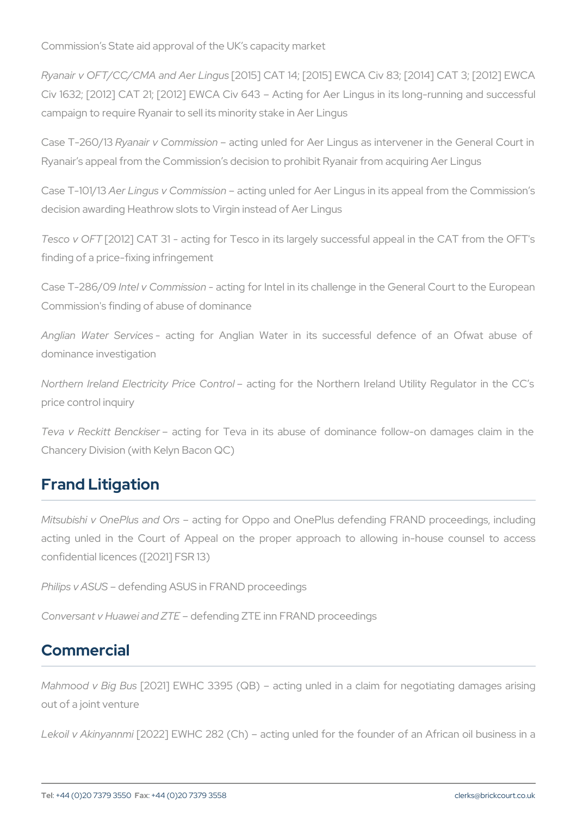Commission s State aid approval of the UK s capacity market

Ryanair v OFT/CC/CMA and Aselr CLAnTgust; [2015] EWCA Civ 83; [2014] Civ 1632; [2012] CAT 21; [2012] EWCA Civ 643 Acting for Aer Ling campaign to require Ryanair to sell its minority stake in Aer Lingus

Case T-26 Poy a Bair v Commaissinog unled for Aer Lingus as intervener in Ryanair s appeal from the Commission s decision to prohibit Ryanair f

Case T-1A  $\ell$  /1B ingus v Commaisission punled for Aer Lingus in its appeal from decision awarding Heathrow slots to Virgin instead of Aer Lingus

Tesco v [QBT2] CAT 31 - acting for Tesco in its largely successful appeal in the CAT 31 - acting for Tesco in its largely successful appeal finding of a price-fixing infringement

Case T-286 no Oel v Commission for Intel in its challenge in the General Commission's finding of abuse of dominance

Anglian Water - Searcotiionens for Anglian Water in its successful defe dominance investigation

Northern Ireland Electricity a Prince foonthel Northern Ireland Utility R price control inquiry

Teva v Reckitt Benctknige for Teva in its abuse of dominance follow Chancery Division (with Kelyn Bacon QC)

## Frand Litigation

Mitsubishi v OnePlusacatindg Olos Oppo and OnePlus defending FRAND acting unled in the Court of Appeal on the proper approach to a confidential licences ([2021] FSR 13)

Philips v A Shelf Sanding ASUS in FRAND proceedings

Conversant v Huaweid afrech ZTH and FRAND proceedings

#### Commercial

Mahmood v B[ $i$ 2021 B $1$ u]s EWHC 3395 (QB) acting unled in a claim for negotiating and  $n = 1$ out of a joint venture

Lekoil v Aking  $202$  m i EWHC 282 (Ch) acting unled for the founder of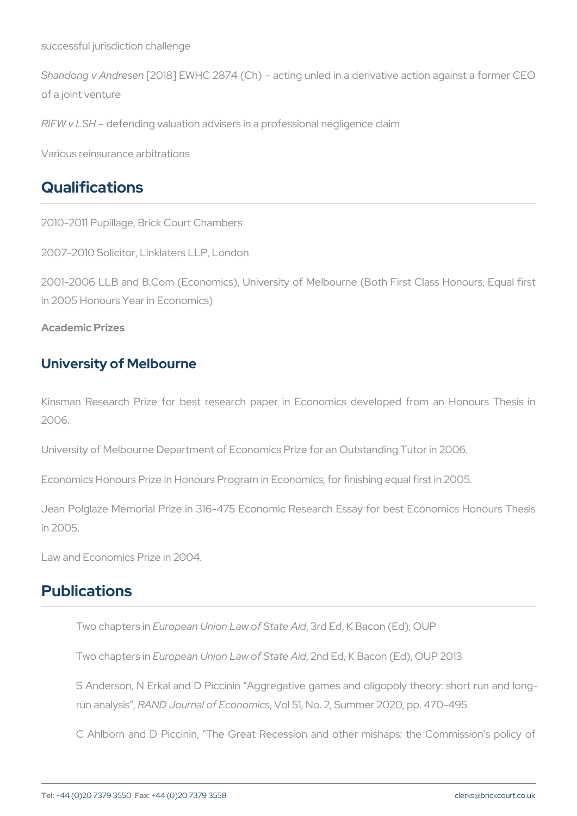successful jurisdiction challenge

Shandong v And Desen EWHC 2874 (Ch) acting unled in a derivative a of a joint venture

RIFW v L8H fending valuation advisers in a professional negligence cla

Various reinsurance arbitrations

### Qualifications

2010-2011 Pupillage, Brick Court Chambers

2007-2010 Solicitor, Linklaters LLP, London

2001-2006 LLB and B.Com (Economics), University of Melbourne (Both in 2005 Honours Year in Economics)

Academic Prizes

#### University of Melbourne

Kinsman Research Prize for best research paper in Economics dev 2006.

University of Melbourne Department of Economics Prize for an Outstar

Economics Honours Prize in Honours Program in Economics, for finish

Jean Polglaze Memorial Prize in 316-475 Economic Research Essay in 2005.

Law and Economics Prize in 2004.

### Publications

Two chapt Eusroipean Union Law, o 3r State & K i o Bacon (Ed), OUP

Two chapt Erusropean Union Law, of nSdt Etoe, AK id Bacon (Ed), OUP 2013

S Anderson, N Erkal and D Piccinin Aggregative games and olig run anal R sAi N D, Journal of E c Voonlo 50 1 ic s No. 2, Summer 2020, pp. 470-4

C Ahlborn and D Piccinin, "The Great Recession and other mis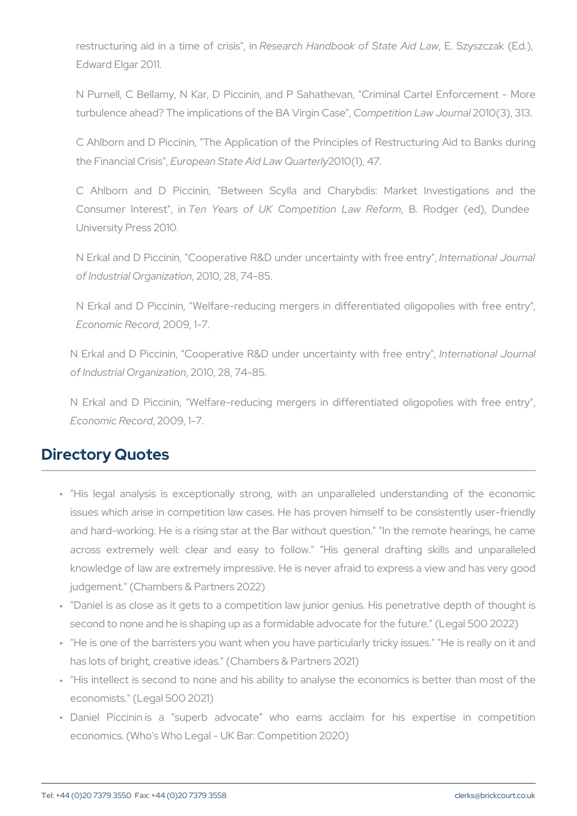restructuring aid in a tRmesseoafrcohribliasn'd bionok of , StEa.te StAyisdzok and (E Edward Elgar 2011.

N Purnell, C Bellamy, N Kar, D Piccinin, and P Sahathevan, " turbulence ahead? The implications of other e Bina d'air ban Lans of the 313

C Ahlborn and D Piccinin, "The Application of the Principles of the Financia E  $C$ ro piesdn State Aid L $20M$   $Q$ (unarterly

C Ahlborn and D Piccinin, "Between Scylla and Charybdis Consumer Inte**Test**", Yeians of UK Competition LRawdgReform , Dundeer (ed), Dundeer (ed), Dundeer (ed), Dundeer (ed), Dundeer (ed), Dundeer (ed), Dundeer (ed), Dundeer (ed), Dundeer (ed), Dundeer (ed), Dundeer (ed), Dundee University Press 2010.

N Erkal and D Piccinin, "Cooperative R&D undelmtuerro at faintally Juoiuth of Industrial  $Orga0i2a,ti2a, 74-85$ .

N Erkal and D Piccinin, "Welfare-reducing mergers in different  $E$ conomic  $R$ e $2$ 00 $9$ , 1-7.

N Erkal and D Piccinin, "Cooperative R&D undelmtwemontaninatly Jwith of Industrial Org 2001zCati2on, 74-85.

N Erkal and D Piccinin, "Welfare-reducing mergers in different  $E$ conomic Re $2000$ . 1-7.

#### Directory Quotes

- " "His legal analysis is exceptionally strong, with an unparalle issues which arise in competition law cases. He has proven hims and hard-working. He is a rising star at the Bar without question across extremely well: clear and easy to follow." "His gene knowledge of law are extremely impressive. He is never afraid to judgement." (Chambers & Partners 2022)
- " "Daniel is as close as it gets to a competition law junior genius. second to none and he is shaping up as a formidable advocate for
- " "He is one of the barristers you want when you have particularly has lots of bright, creative ideas." (Chambers & Partners 2021)
- " "His intellect is second to none and his ability to analyse the equal economists." (Legal 500 2021)
- " Daniel Piccinin is a superb advocate who earns acclaim economics. (Who's Who Legal - UK Bar: Competition 2020)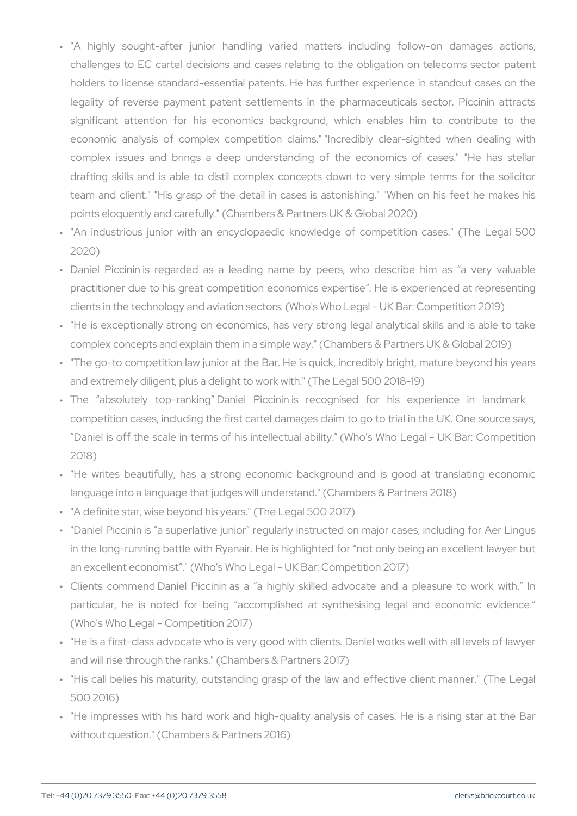- " "A highly sought-after junior handling varied matters inclu challenges to EC cartel decisions and cases relating to the obl holders to license standard-essential patents. He has further ex legality of reverse payment patent settlements in the pharmadeus significant attention for his economics background, which e economic analysis of complex competition claims." "Incredibly complex issues and brings a deep understanding of the ecor drafting skills and is able to distil complex concepts down to team and client." "His grasp of the detail in cases is astonishi points eloquently and carefully." (Chambers & Partners UK & Glob
- " "An industrious junior with an encyclopaedic knowledge of com 2020)
- " Daniel Piccinin is regarded as a leading name by peers, who practitioner due to his great competition economics expertise. F clients in the technology and aviation sectors. (Who's Who Legal -
- " "He is exceptionally strong on economics, has very strong legal complex concepts and explain them in a simple way." (Chambers &
- " "The go-to competition law junior at the Bar. He is quick, incredil and extremely diligent, plus a delight to work with." (The Legal 50
- absolutely top-rankinios Deagnoiethis Piccifroim his experience competition cases, including the first cartel damages claim to go Daniel is off the scale in terms of his intellectual ability. (Who 2018) " The
- " "He writes beautifully, has a strong economic background and language into a language that judges will understand." (Chambers
- " "A definite star, wise beyond his years." (The Legal 500 2017)
- " "Daniel Piccinin is a superlative junior regularly instructed on i in the long-running battle with Ryanair. He is highlighted for not an excellent economist ." (Who's Who Legal - UK Bar: Competition
- " Clients commend Daniel Piccinin as a a highly skilled advocat particular, he is noted for being accomplished at synthesisi (Who's Who Legal - Competition 2017)
- " "He is a first-class advocate who is very good with clients. Danie and will rise through the ranks." (Chambers & Partners 2017)
- " "His call belies his maturity, outstanding grasp of the law and  $\epsilon$ 500 2016)
- " "He impresses with his hard work and high-quality analysis of without question." (Chambers & Partners 2016)